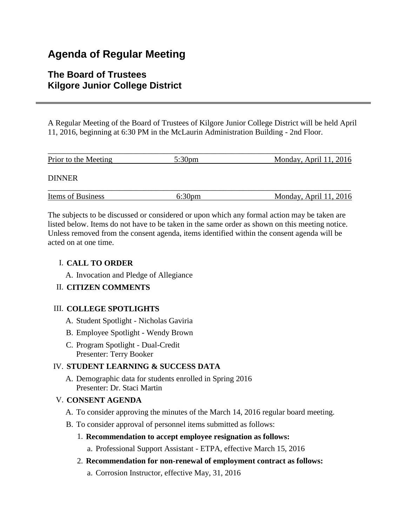# **Agenda of Regular Meeting**

## **The Board of Trustees Kilgore Junior College District**

A Regular Meeting of the Board of Trustees of Kilgore Junior College District will be held April 11, 2016, beginning at 6:30 PM in the McLaurin Administration Building - 2nd Floor.

| Prior to the Meeting     | $5:30 \text{pm}$ | Monday, April 11, 2016   |
|--------------------------|------------------|--------------------------|
| <b>DINNER</b>            |                  |                          |
| <b>Items of Business</b> | 6:30pm           | Monday, April $11, 2016$ |

The subjects to be discussed or considered or upon which any formal action may be taken are listed below. Items do not have to be taken in the same order as shown on this meeting notice. Unless removed from the consent agenda, items identified within the consent agenda will be acted on at one time.

## I. **CALL TO ORDER**

A. Invocation and Pledge of Allegiance

## II. **CITIZEN COMMENTS**

#### III. **COLLEGE SPOTLIGHTS**

- A. Student Spotlight Nicholas Gaviria
- B. Employee Spotlight Wendy Brown
- C. Program Spotlight Dual-Credit Presenter: Terry Booker

## IV. **STUDENT LEARNING & SUCCESS DATA**

A. Demographic data for students enrolled in Spring 2016 Presenter: Dr. Staci Martin

## V. **CONSENT AGENDA**

- A. To consider approving the minutes of the March 14, 2016 regular board meeting.
- B. To consider approval of personnel items submitted as follows:
	- 1. **Recommendation to accept employee resignation as follows:**

a. Professional Support Assistant - ETPA, effective March 15, 2016

- 2. **Recommendation for non-renewal of employment contract as follows:**
	- a. Corrosion Instructor, effective May, 31, 2016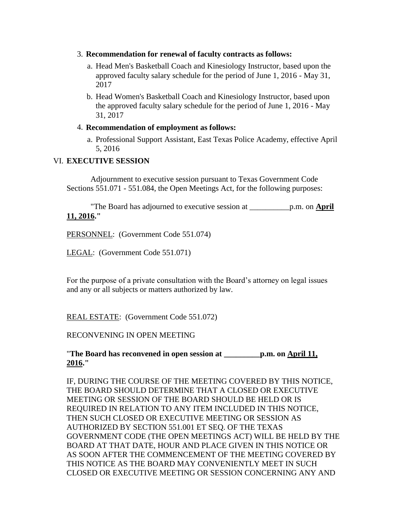- 3. **Recommendation for renewal of faculty contracts as follows:**
	- a. Head Men's Basketball Coach and Kinesiology Instructor, based upon the approved faculty salary schedule for the period of June 1, 2016 - May 31, 2017
	- b. Head Women's Basketball Coach and Kinesiology Instructor, based upon the approved faculty salary schedule for the period of June 1, 2016 - May 31, 2017
- 4. **Recommendation of employment as follows:**
	- a. Professional Support Assistant, East Texas Police Academy, effective April 5, 2016

## VI. **EXECUTIVE SESSION**

 Adjournment to executive session pursuant to Texas Government Code Sections 551.071 - 551.084, the Open Meetings Act, for the following purposes:

 "The Board has adjourned to executive session at \_\_\_\_\_\_\_\_\_\_p.m. on **April 11, 2016."**

PERSONNEL: (Government Code 551.074)

LEGAL: (Government Code 551.071)

For the purpose of a private consultation with the Board's attorney on legal issues and any or all subjects or matters authorized by law.

REAL ESTATE: (Government Code 551.072)

#### RECONVENING IN OPEN MEETING

"**The Board has reconvened in open session at \_\_\_\_\_\_\_\_\_p.m. on April 11, 2016."**

IF, DURING THE COURSE OF THE MEETING COVERED BY THIS NOTICE, THE BOARD SHOULD DETERMINE THAT A CLOSED OR EXECUTIVE MEETING OR SESSION OF THE BOARD SHOULD BE HELD OR IS REQUIRED IN RELATION TO ANY ITEM INCLUDED IN THIS NOTICE, THEN SUCH CLOSED OR EXECUTIVE MEETING OR SESSION AS AUTHORIZED BY SECTION 551.001 ET SEQ. OF THE TEXAS GOVERNMENT CODE (THE OPEN MEETINGS ACT) WILL BE HELD BY THE BOARD AT THAT DATE, HOUR AND PLACE GIVEN IN THIS NOTICE OR AS SOON AFTER THE COMMENCEMENT OF THE MEETING COVERED BY THIS NOTICE AS THE BOARD MAY CONVENIENTLY MEET IN SUCH CLOSED OR EXECUTIVE MEETING OR SESSION CONCERNING ANY AND